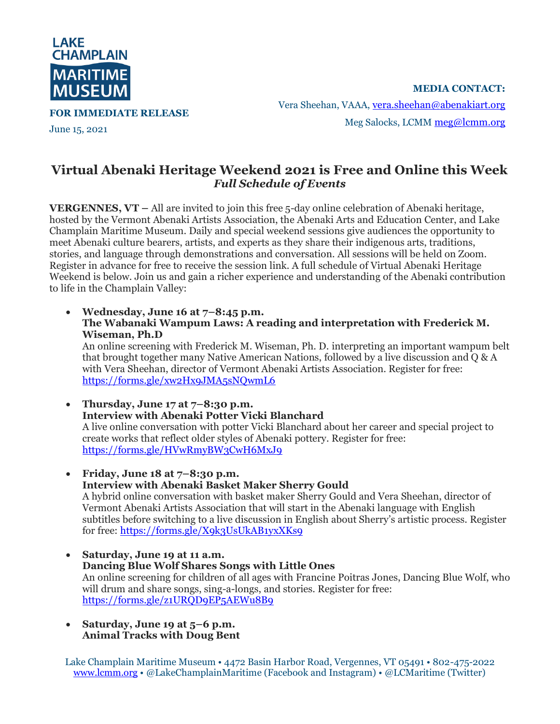

**FOR IMMEDIATE RELEASE**

June 15, 2021

**MEDIA CONTACT:** Vera Sheehan, VAAA, [vera.sheehan@abenakiart.org](mailto:vera.sheehan@abenakiart.org) Meg Salocks, LCMM [meg@lcmm.org](mailto:meg@lcmm.org)

## **Virtual Abenaki Heritage Weekend 2021 is Free and Online this Week** *Full Schedule of Events*

**VERGENNES, VT –** All are invited to join this free 5-day online celebration of Abenaki heritage, hosted by the Vermont Abenaki Artists Association, the Abenaki Arts and Education Center, and Lake Champlain Maritime Museum. Daily and special weekend sessions give audiences the opportunity to meet Abenaki culture bearers, artists, and experts as they share their indigenous arts, traditions, stories, and language through demonstrations and conversation. All sessions will be held on Zoom. Register in advance for free to receive the session link. A full schedule of Virtual Abenaki Heritage Weekend is below. Join us and gain a richer experience and understanding of the Abenaki contribution to life in the Champlain Valley:

• **Wednesday, June 16 at 7–8:45 p.m. The Wabanaki Wampum Laws: A reading and interpretation with Frederick M. Wiseman, Ph.D**

An online screening with Frederick M. Wiseman, Ph. D. interpreting an important wampum belt that brought together many Native American Nations, followed by a live discussion and  $\overline{Q}$  & A with Vera Sheehan, director of Vermont Abenaki Artists Association. Register for free: <https://forms.gle/xw2Hx9JMA5sNQwmL6>

• **Thursday, June 17 at 7–8:30 p.m. Interview with Abenaki Potter Vicki Blanchard** A live online conversation with potter Vicki Blanchard about her career and special project to create works that reflect older styles of Abenaki pottery. Register for free: <https://forms.gle/HVwRmyBW3CwH6MxJ9>

• **Friday, June 18 at 7–8:30 p.m. Interview with Abenaki Basket Maker Sherry Gould** A hybrid online conversation with basket maker Sherry Gould and Vera Sheehan, director of Vermont Abenaki Artists Association that will start in the Abenaki language with English subtitles before switching to a live discussion in English about Sherry's artistic process. Register for free:<https://forms.gle/X9k3UsUkAB1yxXKs9>

- **Saturday, June 19 at 11 a.m. Dancing Blue Wolf Shares Songs with Little Ones** An online screening for children of all ages with Francine Poitras Jones, Dancing Blue Wolf, who will drum and share songs, sing-a-longs, and stories. Register for free: <https://forms.gle/z1URQD9EP5AEWu8B9>
- **Saturday, June 19 at 5–6 p.m. Animal Tracks with Doug Bent**

Lake Champlain Maritime Museum • 4472 Basin Harbor Road, Vergennes, VT 05491 • 802-475-2022 [www.lcmm.org](http://www.lcmm.org/) • @LakeChamplainMaritime (Facebook and Instagram) • @LCMaritime (Twitter)